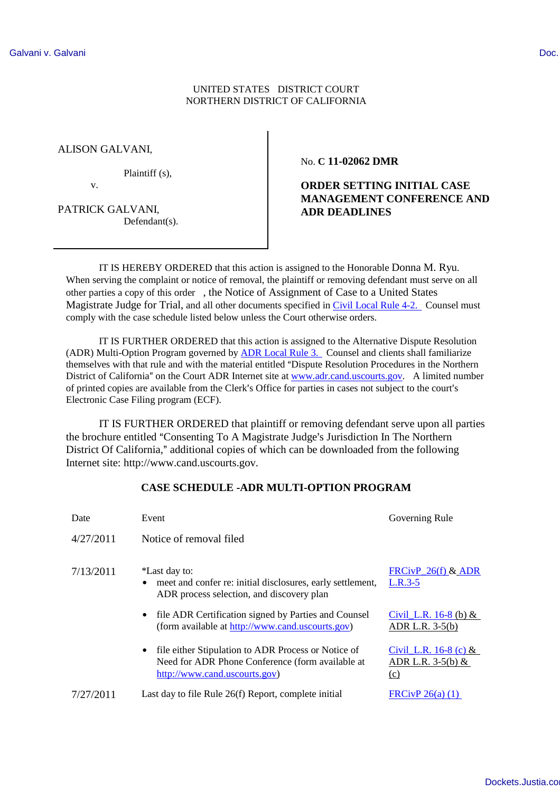## UNITED STATES DISTRICT COURT NORTHERN DISTRICT OF CALIFORNIA

ALISON GALVANI,

Plaintiff (s),

v.

PATRICK GALVANI, Defendant(s). No. **C 11-02062 DMR**

## **ORDER SETTING INITIAL CASE MANAGEMENT CONFERENCE AND ADR DEADLINES**

IT IS HEREBY ORDERED that this action is assigned to the Honorable Donna M. Ryu. When serving the complaint or notice of removal, the plaintiff or removing defendant must serve on all other parties a copy of this order , the Notice of Assignment of Case to a United States Magistrate Judge for Trial, and all other documents specified in Civil Local Rule 4-2. Counsel must comply with the case schedule listed below unless the Court otherwise orders.

IT IS FURTHER ORDERED that this action is assigned to the Alternative Dispute Resolution (ADR) Multi-Option Program governed by ADR Local Rule 3. Counsel and clients shall familiarize themselves with that rule and with the material entitled "Dispute Resolution Procedures in the Northern District of California" on the Court ADR Internet site at www.adr.cand.uscourts.gov. A limited number of printed copies are available from the Clerk's Office for parties in cases not subject to the court's Electronic Case Filing program (ECF).

IT IS FURTHER ORDERED that plaintiff or removing defendant serve upon all parties the brochure entitled "Consenting To A Magistrate Judge's Jurisdiction In The Northern District Of California," additional copies of which can be downloaded from the following Internet site: http://www.cand.uscourts.gov.

## **CASE SCHEDULE -ADR MULTI-OPTION PROGRAM**

| Date      | Event                                                                                                                                                 | Governing Rule                                        |
|-----------|-------------------------------------------------------------------------------------------------------------------------------------------------------|-------------------------------------------------------|
| 4/27/2011 | Notice of removal filed                                                                                                                               |                                                       |
| 7/13/2011 | *Last day to:<br>meet and confer re: initial disclosures, early settlement,<br>$\bullet$<br>ADR process selection, and discovery plan                 | FRCivP $26(f)$ & ADR<br>$L.R.3-5$                     |
|           | file ADR Certification signed by Parties and Counsel<br>$\bullet$<br>(form available at http://www.cand.uscourts.gov)                                 | Civil L.R. $16-8$ (b) &<br>ADR L.R. $3-5(b)$          |
|           | file either Stipulation to ADR Process or Notice of<br>$\bullet$<br>Need for ADR Phone Conference (form available at<br>http://www.cand.uscourts.gov) | Civil L.R. $16-8$ (c) &<br>ADR L.R. $3-5(b)$ &<br>(c) |
| 7/27/2011 | Last day to file Rule 26(f) Report, complete initial                                                                                                  | FRCivP $26(a)$ (1)                                    |